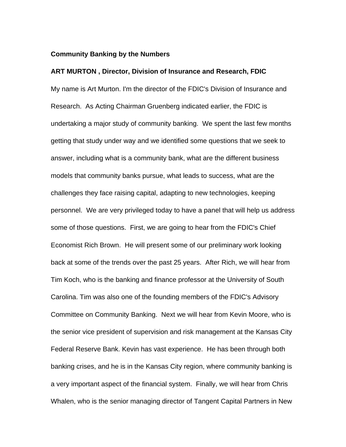## **Community Banking by the Numbers**

#### **ART MURTON , Director, Division of Insurance and Research, FDIC**

My name is Art Murton. I'm the director of the FDIC's Division of Insurance and Research. As Acting Chairman Gruenberg indicated earlier, the FDIC is undertaking a major study of community banking. We spent the last few months getting that study under way and we identified some questions that we seek to answer, including what is a community bank, what are the different business models that community banks pursue, what leads to success, what are the challenges they face raising capital, adapting to new technologies, keeping personnel. We are very privileged today to have a panel that will help us address some of those questions. First, we are going to hear from the FDIC's Chief Economist Rich Brown. He will present some of our preliminary work looking back at some of the trends over the past 25 years. After Rich, we will hear from Tim Koch, who is the banking and finance professor at the University of South Carolina. Tim was also one of the founding members of the FDIC's Advisory Committee on Community Banking. Next we will hear from Kevin Moore, who is the senior vice president of supervision and risk management at the Kansas City Federal Reserve Bank. Kevin has vast experience. He has been through both banking crises, and he is in the Kansas City region, where community banking is a very important aspect of the financial system. Finally, we will hear from Chris Whalen, who is the senior managing director of Tangent Capital Partners in New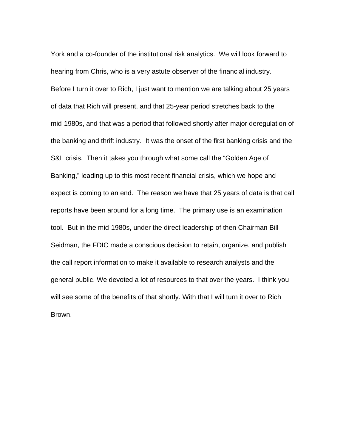York and a co-founder of the institutional risk analytics. We will look forward to hearing from Chris, who is a very astute observer of the financial industry. Before I turn it over to Rich, I just want to mention we are talking about 25 years of data that Rich will present, and that 25-year period stretches back to the mid-1980s, and that was a period that followed shortly after major deregulation of the banking and thrift industry. It was the onset of the first banking crisis and the S&L crisis. Then it takes you through what some call the "Golden Age of Banking," leading up to this most recent financial crisis, which we hope and expect is coming to an end. The reason we have that 25 years of data is that call reports have been around for a long time. The primary use is an examination tool. But in the mid-1980s, under the direct leadership of then Chairman Bill Seidman, the FDIC made a conscious decision to retain, organize, and publish the call report information to make it available to research analysts and the general public. We devoted a lot of resources to that over the years. I think you will see some of the benefits of that shortly. With that I will turn it over to Rich Brown.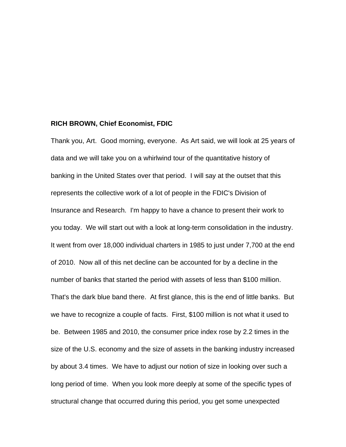#### **RICH BROWN, Chief Economist, FDIC**

Thank you, Art. Good morning, everyone. As Art said, we will look at 25 years of data and we will take you on a whirlwind tour of the quantitative history of banking in the United States over that period. I will say at the outset that this represents the collective work of a lot of people in the FDIC's Division of Insurance and Research. I'm happy to have a chance to present their work to you today. We will start out with a look at long-term consolidation in the industry. It went from over 18,000 individual charters in 1985 to just under 7,700 at the end of 2010. Now all of this net decline can be accounted for by a decline in the number of banks that started the period with assets of less than \$100 million. That's the dark blue band there. At first glance, this is the end of little banks. But we have to recognize a couple of facts. First, \$100 million is not what it used to be. Between 1985 and 2010, the consumer price index rose by 2.2 times in the size of the U.S. economy and the size of assets in the banking industry increased by about 3.4 times. We have to adjust our notion of size in looking over such a long period of time. When you look more deeply at some of the specific types of structural change that occurred during this period, you get some unexpected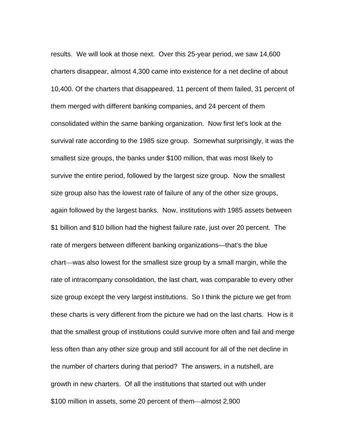results. We will look at those next. Over this 25-year period, we saw 14,600 charters disappear, almost 4,300 came into existence for a net decline of about 10,400. Of the charters that disappeared, 11 percent of them failed, 31 percent of them merged with different banking companies, and 24 percent of them consolidated within the same banking organization. Now first let's look at the survival rate according to the 1985 size group. Somewhat surprisingly, it was the smallest size groups, the banks under \$100 million, that was most likely to survive the entire period, followed by the largest size group. Now the smallest size group also has the lowest rate of failure of any of the other size groups, again followed by the largest banks. Now, institutions with 1985 assets between \$1 billion and \$10 billion had the highest failure rate, just over 20 percent. The rate of mergers between different banking organizations—that's the blue chart—was also lowest for the smallest size group by a small margin, while the rate of intracompany consolidation, the last chart, was comparable to every other size group except the very largest institutions. So I think the picture we get from these charts is very different from the picture we had on the last charts. How is it that the smallest group of institutions could survive more often and fail and merge less often than any other size group and still account for all of the net decline in the number of charters during that period? The answers, in a nutshell, are growth in new charters. Of all the institutions that started out with under \$100 million in assets, some 20 percent of them—almost 2,900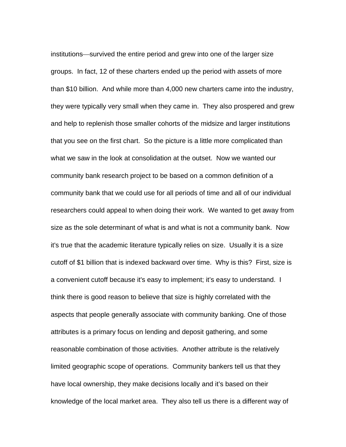institutions—survived the entire period and grew into one of the larger size groups. In fact, 12 of these charters ended up the period with assets of more than \$10 billion. And while more than 4,000 new charters came into the industry, they were typically very small when they came in. They also prospered and grew and help to replenish those smaller cohorts of the midsize and larger institutions that you see on the first chart. So the picture is a little more complicated than what we saw in the look at consolidation at the outset. Now we wanted our community bank research project to be based on a common definition of a community bank that we could use for all periods of time and all of our individual researchers could appeal to when doing their work. We wanted to get away from size as the sole determinant of what is and what is not a community bank. Now it's true that the academic literature typically relies on size. Usually it is a size cutoff of \$1 billion that is indexed backward over time. Why is this? First, size is a convenient cutoff because it's easy to implement; it's easy to understand. I think there is good reason to believe that size is highly correlated with the aspects that people generally associate with community banking. One of those attributes is a primary focus on lending and deposit gathering, and some reasonable combination of those activities. Another attribute is the relatively limited geographic scope of operations. Community bankers tell us that they have local ownership, they make decisions locally and it's based on their knowledge of the local market area. They also tell us there is a different way of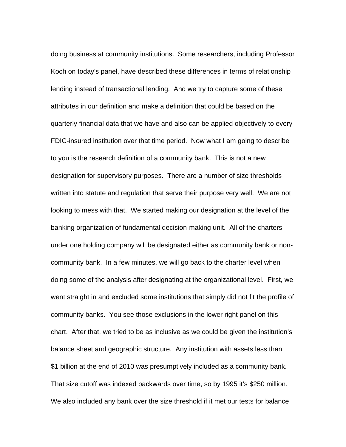doing business at community institutions. Some researchers, including Professor Koch on today's panel, have described these differences in terms of relationship lending instead of transactional lending. And we try to capture some of these attributes in our definition and make a definition that could be based on the quarterly financial data that we have and also can be applied objectively to every FDIC-insured institution over that time period. Now what I am going to describe to you is the research definition of a community bank. This is not a new designation for supervisory purposes. There are a number of size thresholds written into statute and regulation that serve their purpose very well. We are not looking to mess with that. We started making our designation at the level of the banking organization of fundamental decision-making unit. All of the charters under one holding company will be designated either as community bank or noncommunity bank. In a few minutes, we will go back to the charter level when doing some of the analysis after designating at the organizational level. First, we went straight in and excluded some institutions that simply did not fit the profile of community banks. You see those exclusions in the lower right panel on this chart. After that, we tried to be as inclusive as we could be given the institution's balance sheet and geographic structure. Any institution with assets less than \$1 billion at the end of 2010 was presumptively included as a community bank. That size cutoff was indexed backwards over time, so by 1995 it's \$250 million. We also included any bank over the size threshold if it met our tests for balance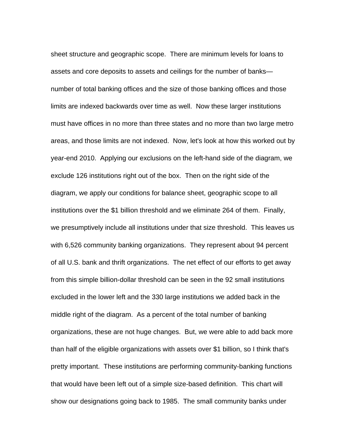sheet structure and geographic scope. There are minimum levels for loans to assets and core deposits to assets and ceilings for the number of banks number of total banking offices and the size of those banking offices and those limits are indexed backwards over time as well. Now these larger institutions must have offices in no more than three states and no more than two large metro areas, and those limits are not indexed. Now, let's look at how this worked out by year-end 2010. Applying our exclusions on the left-hand side of the diagram, we exclude 126 institutions right out of the box. Then on the right side of the diagram, we apply our conditions for balance sheet, geographic scope to all institutions over the \$1 billion threshold and we eliminate 264 of them. Finally, we presumptively include all institutions under that size threshold. This leaves us with 6,526 community banking organizations. They represent about 94 percent of all U.S. bank and thrift organizations. The net effect of our efforts to get away from this simple billion-dollar threshold can be seen in the 92 small institutions excluded in the lower left and the 330 large institutions we added back in the middle right of the diagram. As a percent of the total number of banking organizations, these are not huge changes. But, we were able to add back more than half of the eligible organizations with assets over \$1 billion, so I think that's pretty important. These institutions are performing community-banking functions that would have been left out of a simple size-based definition. This chart will show our designations going back to 1985. The small community banks under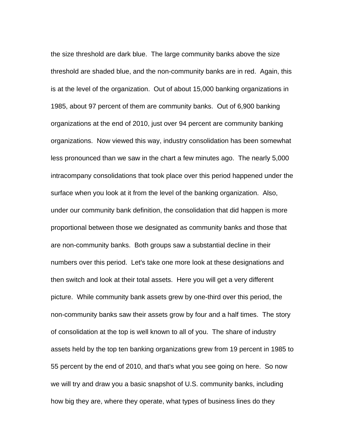the size threshold are dark blue. The large community banks above the size threshold are shaded blue, and the non-community banks are in red. Again, this is at the level of the organization. Out of about 15,000 banking organizations in 1985, about 97 percent of them are community banks. Out of 6,900 banking organizations at the end of 2010, just over 94 percent are community banking organizations. Now viewed this way, industry consolidation has been somewhat less pronounced than we saw in the chart a few minutes ago. The nearly 5,000 intracompany consolidations that took place over this period happened under the surface when you look at it from the level of the banking organization. Also, under our community bank definition, the consolidation that did happen is more proportional between those we designated as community banks and those that are non-community banks. Both groups saw a substantial decline in their numbers over this period. Let's take one more look at these designations and then switch and look at their total assets. Here you will get a very different picture. While community bank assets grew by one-third over this period, the non-community banks saw their assets grow by four and a half times. The story of consolidation at the top is well known to all of you. The share of industry assets held by the top ten banking organizations grew from 19 percent in 1985 to 55 percent by the end of 2010, and that's what you see going on here. So now we will try and draw you a basic snapshot of U.S. community banks, including how big they are, where they operate, what types of business lines do they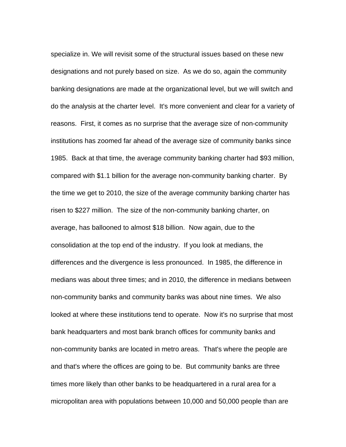specialize in. We will revisit some of the structural issues based on these new designations and not purely based on size. As we do so, again the community banking designations are made at the organizational level, but we will switch and do the analysis at the charter level. It's more convenient and clear for a variety of reasons. First, it comes as no surprise that the average size of non-community institutions has zoomed far ahead of the average size of community banks since 1985. Back at that time, the average community banking charter had \$93 million, compared with \$1.1 billion for the average non-community banking charter. By the time we get to 2010, the size of the average community banking charter has risen to \$227 million. The size of the non-community banking charter, on average, has ballooned to almost \$18 billion. Now again, due to the consolidation at the top end of the industry. If you look at medians, the differences and the divergence is less pronounced. In 1985, the difference in medians was about three times; and in 2010, the difference in medians between non-community banks and community banks was about nine times. We also looked at where these institutions tend to operate. Now it's no surprise that most bank headquarters and most bank branch offices for community banks and non-community banks are located in metro areas. That's where the people are and that's where the offices are going to be. But community banks are three times more likely than other banks to be headquartered in a rural area for a micropolitan area with populations between 10,000 and 50,000 people than are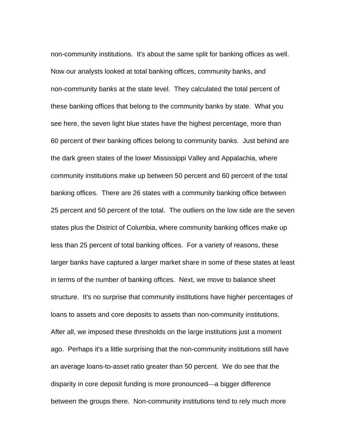non-community institutions. It's about the same split for banking offices as well. Now our analysts looked at total banking offices, community banks, and non-community banks at the state level. They calculated the total percent of these banking offices that belong to the community banks by state. What you see here, the seven light blue states have the highest percentage, more than 60 percent of their banking offices belong to community banks. Just behind are the dark green states of the lower Mississippi Valley and Appalachia, where community institutions make up between 50 percent and 60 percent of the total banking offices. There are 26 states with a community banking office between 25 percent and 50 percent of the total. The outliers on the low side are the seven states plus the District of Columbia, where community banking offices make up less than 25 percent of total banking offices. For a variety of reasons, these larger banks have captured a larger market share in some of these states at least in terms of the number of banking offices. Next, we move to balance sheet structure. It's no surprise that community institutions have higher percentages of loans to assets and core deposits to assets than non-community institutions. After all, we imposed these thresholds on the large institutions just a moment ago. Perhaps it's a little surprising that the non-community institutions still have an average loans-to-asset ratio greater than 50 percent. We do see that the disparity in core deposit funding is more pronounced—a bigger difference between the groups there. Non-community institutions tend to rely much more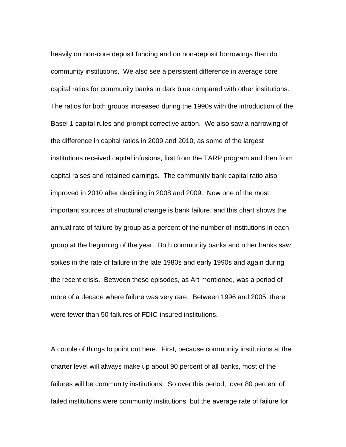heavily on non-core deposit funding and on non-deposit borrowings than do community institutions. We also see a persistent difference in average core capital ratios for community banks in dark blue compared with other institutions. The ratios for both groups increased during the 1990s with the introduction of the Basel 1 capital rules and prompt corrective action. We also saw a narrowing of the difference in capital ratios in 2009 and 2010, as some of the largest institutions received capital infusions, first from the TARP program and then from capital raises and retained earnings. The community bank capital ratio also improved in 2010 after declining in 2008 and 2009. Now one of the most important sources of structural change is bank failure, and this chart shows the annual rate of failure by group as a percent of the number of institutions in each group at the beginning of the year. Both community banks and other banks saw spikes in the rate of failure in the late 1980s and early 1990s and again during the recent crisis. Between these episodes, as Art mentioned, was a period of more of a decade where failure was very rare. Between 1996 and 2005, there were fewer than 50 failures of FDIC-insured institutions.

A couple of things to point out here. First, because community institutions at the charter level will always make up about 90 percent of all banks, most of the failures will be community institutions. So over this period, over 80 percent of failed institutions were community institutions, but the average rate of failure for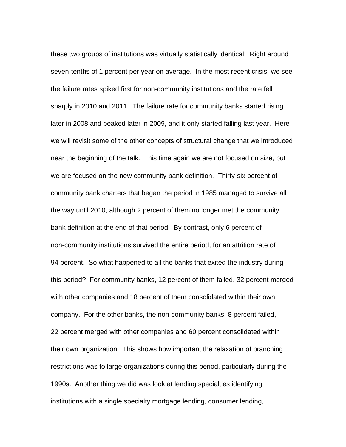these two groups of institutions was virtually statistically identical. Right around seven-tenths of 1 percent per year on average. In the most recent crisis, we see the failure rates spiked first for non-community institutions and the rate fell sharply in 2010 and 2011. The failure rate for community banks started rising later in 2008 and peaked later in 2009, and it only started falling last year. Here we will revisit some of the other concepts of structural change that we introduced near the beginning of the talk. This time again we are not focused on size, but we are focused on the new community bank definition. Thirty-six percent of community bank charters that began the period in 1985 managed to survive all the way until 2010, although 2 percent of them no longer met the community bank definition at the end of that period. By contrast, only 6 percent of non-community institutions survived the entire period, for an attrition rate of 94 percent. So what happened to all the banks that exited the industry during this period? For community banks, 12 percent of them failed, 32 percent merged with other companies and 18 percent of them consolidated within their own company. For the other banks, the non-community banks, 8 percent failed, 22 percent merged with other companies and 60 percent consolidated within their own organization. This shows how important the relaxation of branching restrictions was to large organizations during this period, particularly during the 1990s. Another thing we did was look at lending specialties identifying institutions with a single specialty mortgage lending, consumer lending,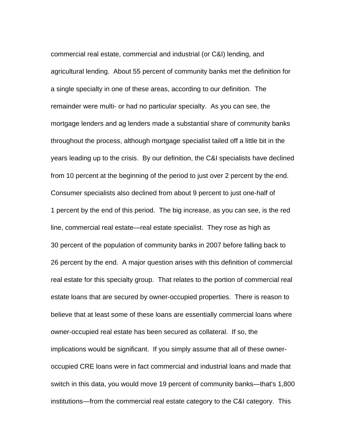commercial real estate, commercial and industrial (or C&I) lending, and agricultural lending. About 55 percent of community banks met the definition for a single specialty in one of these areas, according to our definition. The remainder were multi- or had no particular specialty. As you can see, the mortgage lenders and ag lenders made a substantial share of community banks throughout the process, although mortgage specialist tailed off a little bit in the years leading up to the crisis. By our definition, the C&I specialists have declined from 10 percent at the beginning of the period to just over 2 percent by the end. Consumer specialists also declined from about 9 percent to just one-half of 1 percent by the end of this period. The big increase, as you can see, is the red line, commercial real estate—real estate specialist. They rose as high as 30 percent of the population of community banks in 2007 before falling back to 26 percent by the end. A major question arises with this definition of commercial real estate for this specialty group. That relates to the portion of commercial real estate loans that are secured by owner-occupied properties. There is reason to believe that at least some of these loans are essentially commercial loans where owner-occupied real estate has been secured as collateral. If so, the implications would be significant. If you simply assume that all of these owneroccupied CRE loans were in fact commercial and industrial loans and made that switch in this data, you would move 19 percent of community banks—that's 1,800 institutions—from the commercial real estate category to the C&I category. This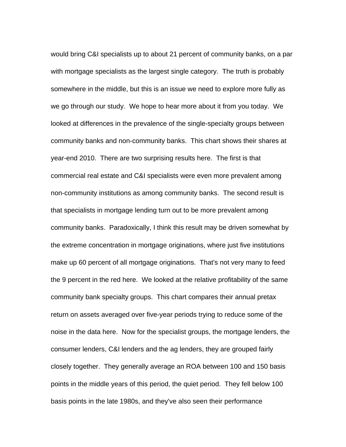would bring C&I specialists up to about 21 percent of community banks, on a par with mortgage specialists as the largest single category. The truth is probably somewhere in the middle, but this is an issue we need to explore more fully as we go through our study. We hope to hear more about it from you today. We looked at differences in the prevalence of the single-specialty groups between community banks and non-community banks. This chart shows their shares at year-end 2010. There are two surprising results here. The first is that commercial real estate and C&I specialists were even more prevalent among non-community institutions as among community banks. The second result is that specialists in mortgage lending turn out to be more prevalent among community banks. Paradoxically, I think this result may be driven somewhat by the extreme concentration in mortgage originations, where just five institutions make up 60 percent of all mortgage originations. That's not very many to feed the 9 percent in the red here. We looked at the relative profitability of the same community bank specialty groups. This chart compares their annual pretax return on assets averaged over five-year periods trying to reduce some of the noise in the data here. Now for the specialist groups, the mortgage lenders, the consumer lenders, C&I lenders and the ag lenders, they are grouped fairly closely together. They generally average an ROA between 100 and 150 basis points in the middle years of this period, the quiet period. They fell below 100 basis points in the late 1980s, and they've also seen their performance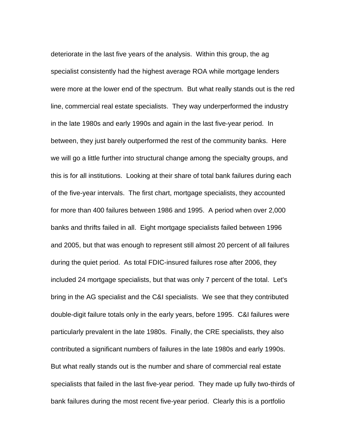deteriorate in the last five years of the analysis. Within this group, the ag specialist consistently had the highest average ROA while mortgage lenders were more at the lower end of the spectrum. But what really stands out is the red line, commercial real estate specialists. They way underperformed the industry in the late 1980s and early 1990s and again in the last five-year period. In between, they just barely outperformed the rest of the community banks. Here we will go a little further into structural change among the specialty groups, and this is for all institutions. Looking at their share of total bank failures during each of the five-year intervals. The first chart, mortgage specialists, they accounted for more than 400 failures between 1986 and 1995. A period when over 2,000 banks and thrifts failed in all. Eight mortgage specialists failed between 1996 and 2005, but that was enough to represent still almost 20 percent of all failures during the quiet period. As total FDIC-insured failures rose after 2006, they included 24 mortgage specialists, but that was only 7 percent of the total. Let's bring in the AG specialist and the C&I specialists. We see that they contributed double-digit failure totals only in the early years, before 1995. C&I failures were particularly prevalent in the late 1980s. Finally, the CRE specialists, they also contributed a significant numbers of failures in the late 1980s and early 1990s. But what really stands out is the number and share of commercial real estate specialists that failed in the last five-year period. They made up fully two-thirds of bank failures during the most recent five-year period. Clearly this is a portfolio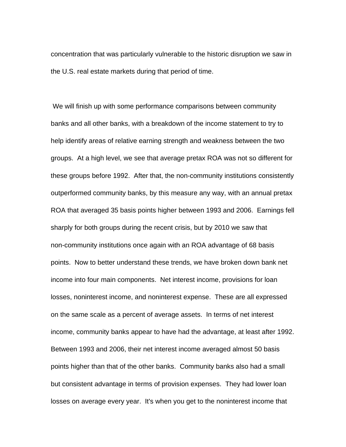concentration that was particularly vulnerable to the historic disruption we saw in the U.S. real estate markets during that period of time.

 We will finish up with some performance comparisons between community banks and all other banks, with a breakdown of the income statement to try to help identify areas of relative earning strength and weakness between the two groups. At a high level, we see that average pretax ROA was not so different for these groups before 1992. After that, the non-community institutions consistently outperformed community banks, by this measure any way, with an annual pretax ROA that averaged 35 basis points higher between 1993 and 2006. Earnings fell sharply for both groups during the recent crisis, but by 2010 we saw that non-community institutions once again with an ROA advantage of 68 basis points. Now to better understand these trends, we have broken down bank net income into four main components. Net interest income, provisions for loan losses, noninterest income, and noninterest expense. These are all expressed on the same scale as a percent of average assets. In terms of net interest income, community banks appear to have had the advantage, at least after 1992. Between 1993 and 2006, their net interest income averaged almost 50 basis points higher than that of the other banks. Community banks also had a small but consistent advantage in terms of provision expenses. They had lower loan losses on average every year. It's when you get to the noninterest income that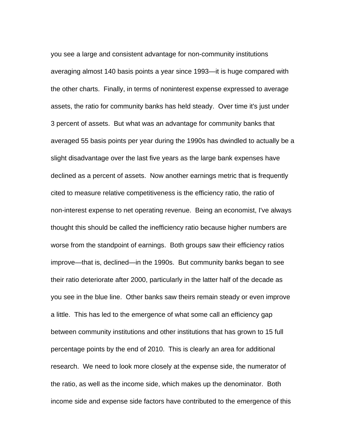you see a large and consistent advantage for non-community institutions averaging almost 140 basis points a year since 1993—it is huge compared with the other charts. Finally, in terms of noninterest expense expressed to average assets, the ratio for community banks has held steady. Over time it's just under 3 percent of assets. But what was an advantage for community banks that averaged 55 basis points per year during the 1990s has dwindled to actually be a slight disadvantage over the last five years as the large bank expenses have declined as a percent of assets. Now another earnings metric that is frequently cited to measure relative competitiveness is the efficiency ratio, the ratio of non-interest expense to net operating revenue. Being an economist, I've always thought this should be called the inefficiency ratio because higher numbers are worse from the standpoint of earnings. Both groups saw their efficiency ratios improve—that is, declined—in the 1990s. But community banks began to see their ratio deteriorate after 2000, particularly in the latter half of the decade as you see in the blue line. Other banks saw theirs remain steady or even improve a little. This has led to the emergence of what some call an efficiency gap between community institutions and other institutions that has grown to 15 full percentage points by the end of 2010. This is clearly an area for additional research. We need to look more closely at the expense side, the numerator of the ratio, as well as the income side, which makes up the denominator. Both income side and expense side factors have contributed to the emergence of this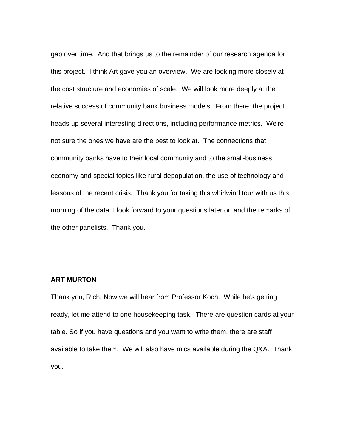gap over time. And that brings us to the remainder of our research agenda for this project. I think Art gave you an overview. We are looking more closely at the cost structure and economies of scale. We will look more deeply at the relative success of community bank business models. From there, the project heads up several interesting directions, including performance metrics. We're not sure the ones we have are the best to look at. The connections that community banks have to their local community and to the small-business economy and special topics like rural depopulation, the use of technology and lessons of the recent crisis. Thank you for taking this whirlwind tour with us this morning of the data. I look forward to your questions later on and the remarks of the other panelists. Thank you.

## **ART MURTON**

Thank you, Rich. Now we will hear from Professor Koch. While he's getting ready, let me attend to one housekeeping task. There are question cards at your table. So if you have questions and you want to write them, there are staff available to take them. We will also have mics available during the Q&A. Thank you.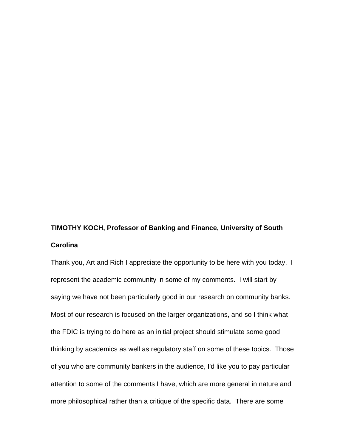# **TIMOTHY KOCH, Professor of Banking and Finance, University of South Carolina**

Thank you, Art and Rich I appreciate the opportunity to be here with you today. I represent the academic community in some of my comments. I will start by saying we have not been particularly good in our research on community banks. Most of our research is focused on the larger organizations, and so I think what the FDIC is trying to do here as an initial project should stimulate some good thinking by academics as well as regulatory staff on some of these topics. Those of you who are community bankers in the audience, I'd like you to pay particular attention to some of the comments I have, which are more general in nature and more philosophical rather than a critique of the specific data. There are some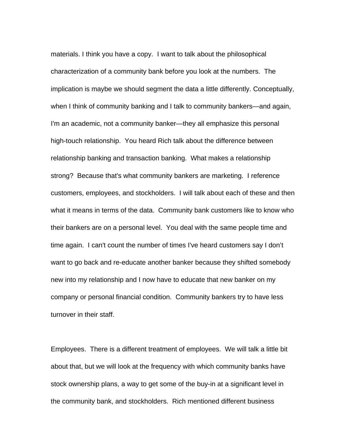materials. I think you have a copy. I want to talk about the philosophical characterization of a community bank before you look at the numbers. The implication is maybe we should segment the data a little differently. Conceptually, when I think of community banking and I talk to community bankers—and again, I'm an academic, not a community banker—they all emphasize this personal high-touch relationship. You heard Rich talk about the difference between relationship banking and transaction banking. What makes a relationship strong? Because that's what community bankers are marketing. I reference customers, employees, and stockholders. I will talk about each of these and then what it means in terms of the data. Community bank customers like to know who their bankers are on a personal level. You deal with the same people time and time again. I can't count the number of times I've heard customers say I don't want to go back and re-educate another banker because they shifted somebody new into my relationship and I now have to educate that new banker on my company or personal financial condition. Community bankers try to have less turnover in their staff.

Employees. There is a different treatment of employees. We will talk a little bit about that, but we will look at the frequency with which community banks have stock ownership plans, a way to get some of the buy-in at a significant level in the community bank, and stockholders. Rich mentioned different business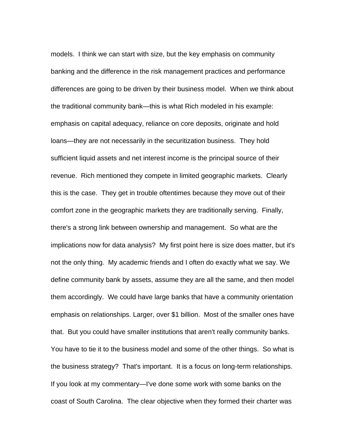models. I think we can start with size, but the key emphasis on community banking and the difference in the risk management practices and performance differences are going to be driven by their business model. When we think about the traditional community bank—this is what Rich modeled in his example: emphasis on capital adequacy, reliance on core deposits, originate and hold loans—they are not necessarily in the securitization business. They hold sufficient liquid assets and net interest income is the principal source of their revenue. Rich mentioned they compete in limited geographic markets. Clearly this is the case. They get in trouble oftentimes because they move out of their comfort zone in the geographic markets they are traditionally serving. Finally, there's a strong link between ownership and management. So what are the implications now for data analysis? My first point here is size does matter, but it's not the only thing. My academic friends and I often do exactly what we say. We define community bank by assets, assume they are all the same, and then model them accordingly. We could have large banks that have a community orientation emphasis on relationships. Larger, over \$1 billion. Most of the smaller ones have that. But you could have smaller institutions that aren't really community banks. You have to tie it to the business model and some of the other things. So what is the business strategy? That's important. It is a focus on long-term relationships. If you look at my commentary—I've done some work with some banks on the coast of South Carolina. The clear objective when they formed their charter was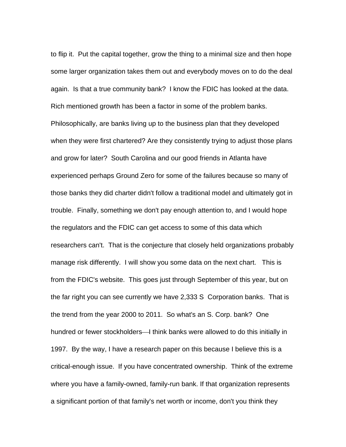to flip it. Put the capital together, grow the thing to a minimal size and then hope some larger organization takes them out and everybody moves on to do the deal again. Is that a true community bank? I know the FDIC has looked at the data. Rich mentioned growth has been a factor in some of the problem banks. Philosophically, are banks living up to the business plan that they developed when they were first chartered? Are they consistently trying to adjust those plans and grow for later? South Carolina and our good friends in Atlanta have experienced perhaps Ground Zero for some of the failures because so many of those banks they did charter didn't follow a traditional model and ultimately got in trouble. Finally, something we don't pay enough attention to, and I would hope the regulators and the FDIC can get access to some of this data which researchers can't. That is the conjecture that closely held organizations probably manage risk differently. I will show you some data on the next chart. This is from the FDIC's website. This goes just through September of this year, but on the far right you can see currently we have 2,333 S Corporation banks. That is the trend from the year 2000 to 2011. So what's an S. Corp. bank? One hundred or fewer stockholders—I think banks were allowed to do this initially in 1997. By the way, I have a research paper on this because I believe this is a critical-enough issue. If you have concentrated ownership. Think of the extreme where you have a family-owned, family-run bank. If that organization represents a significant portion of that family's net worth or income, don't you think they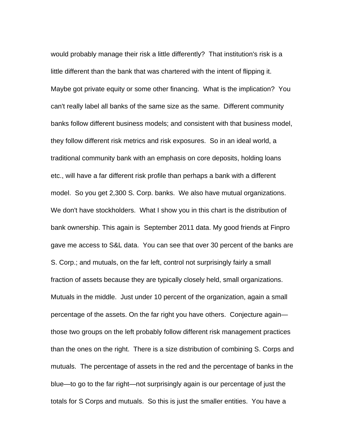would probably manage their risk a little differently? That institution's risk is a little different than the bank that was chartered with the intent of flipping it. Maybe got private equity or some other financing. What is the implication? You can't really label all banks of the same size as the same. Different community banks follow different business models; and consistent with that business model, they follow different risk metrics and risk exposures. So in an ideal world, a traditional community bank with an emphasis on core deposits, holding loans etc., will have a far different risk profile than perhaps a bank with a different model. So you get 2,300 S. Corp. banks. We also have mutual organizations. We don't have stockholders. What I show you in this chart is the distribution of bank ownership. This again is September 2011 data. My good friends at Finpro gave me access to S&L data. You can see that over 30 percent of the banks are S. Corp.; and mutuals, on the far left, control not surprisingly fairly a small fraction of assets because they are typically closely held, small organizations. Mutuals in the middle. Just under 10 percent of the organization, again a small percentage of the assets. On the far right you have others. Conjecture again those two groups on the left probably follow different risk management practices than the ones on the right. There is a size distribution of combining S. Corps and mutuals. The percentage of assets in the red and the percentage of banks in the blue—to go to the far right—not surprisingly again is our percentage of just the totals for S Corps and mutuals. So this is just the smaller entities. You have a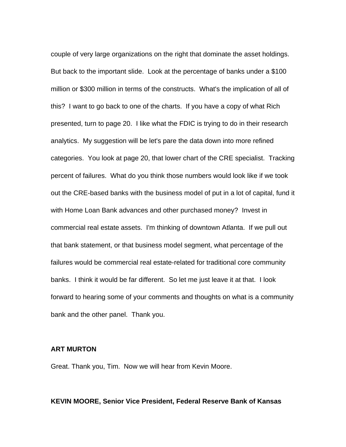couple of very large organizations on the right that dominate the asset holdings. But back to the important slide. Look at the percentage of banks under a \$100 million or \$300 million in terms of the constructs. What's the implication of all of this? I want to go back to one of the charts. If you have a copy of what Rich presented, turn to page 20. I like what the FDIC is trying to do in their research analytics. My suggestion will be let's pare the data down into more refined categories. You look at page 20, that lower chart of the CRE specialist. Tracking percent of failures. What do you think those numbers would look like if we took out the CRE-based banks with the business model of put in a lot of capital, fund it with Home Loan Bank advances and other purchased money? Invest in commercial real estate assets. I'm thinking of downtown Atlanta. If we pull out that bank statement, or that business model segment, what percentage of the failures would be commercial real estate-related for traditional core community banks. I think it would be far different. So let me just leave it at that. I look forward to hearing some of your comments and thoughts on what is a community bank and the other panel. Thank you.

## **ART MURTON**

Great. Thank you, Tim. Now we will hear from Kevin Moore.

#### **KEVIN MOORE, Senior Vice President, Federal Reserve Bank of Kansas**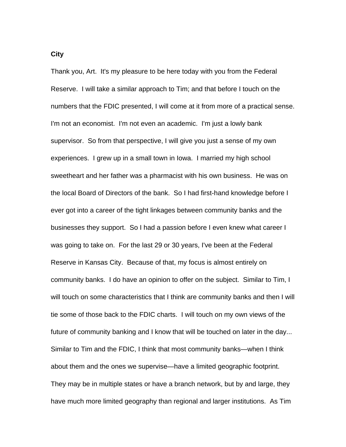Thank you, Art. It's my pleasure to be here today with you from the Federal Reserve. I will take a similar approach to Tim; and that before I touch on the numbers that the FDIC presented, I will come at it from more of a practical sense. I'm not an economist. I'm not even an academic. I'm just a lowly bank supervisor. So from that perspective, I will give you just a sense of my own experiences. I grew up in a small town in Iowa. I married my high school sweetheart and her father was a pharmacist with his own business. He was on the local Board of Directors of the bank. So I had first-hand knowledge before I ever got into a career of the tight linkages between community banks and the businesses they support. So I had a passion before I even knew what career I was going to take on. For the last 29 or 30 years, I've been at the Federal Reserve in Kansas City. Because of that, my focus is almost entirely on community banks. I do have an opinion to offer on the subject. Similar to Tim, I will touch on some characteristics that I think are community banks and then I will tie some of those back to the FDIC charts. I will touch on my own views of the future of community banking and I know that will be touched on later in the day... Similar to Tim and the FDIC, I think that most community banks—when I think about them and the ones we supervise—have a limited geographic footprint. They may be in multiple states or have a branch network, but by and large, they

have much more limited geography than regional and larger institutions. As Tim

**City**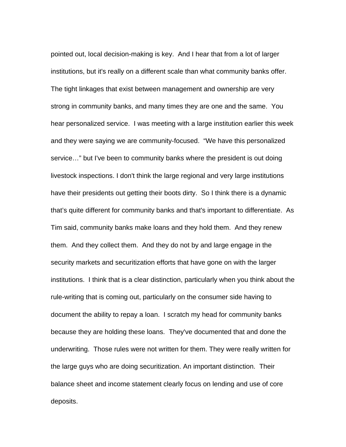pointed out, local decision-making is key. And I hear that from a lot of larger institutions, but it's really on a different scale than what community banks offer. The tight linkages that exist between management and ownership are very strong in community banks, and many times they are one and the same. You hear personalized service. I was meeting with a large institution earlier this week and they were saying we are community-focused. "We have this personalized service…" but I've been to community banks where the president is out doing livestock inspections. I don't think the large regional and very large institutions have their presidents out getting their boots dirty. So I think there is a dynamic that's quite different for community banks and that's important to differentiate. As Tim said, community banks make loans and they hold them. And they renew them. And they collect them. And they do not by and large engage in the security markets and securitization efforts that have gone on with the larger institutions. I think that is a clear distinction, particularly when you think about the rule-writing that is coming out, particularly on the consumer side having to document the ability to repay a loan. I scratch my head for community banks because they are holding these loans. They've documented that and done the underwriting. Those rules were not written for them. They were really written for the large guys who are doing securitization. An important distinction. Their balance sheet and income statement clearly focus on lending and use of core deposits.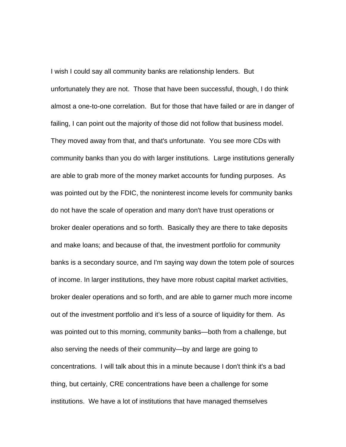I wish I could say all community banks are relationship lenders. But unfortunately they are not. Those that have been successful, though, I do think almost a one-to-one correlation. But for those that have failed or are in danger of failing, I can point out the majority of those did not follow that business model. They moved away from that, and that's unfortunate. You see more CDs with community banks than you do with larger institutions. Large institutions generally are able to grab more of the money market accounts for funding purposes. As was pointed out by the FDIC, the noninterest income levels for community banks do not have the scale of operation and many don't have trust operations or broker dealer operations and so forth. Basically they are there to take deposits and make loans; and because of that, the investment portfolio for community banks is a secondary source, and I'm saying way down the totem pole of sources of income. In larger institutions, they have more robust capital market activities, broker dealer operations and so forth, and are able to garner much more income out of the investment portfolio and it's less of a source of liquidity for them. As was pointed out to this morning, community banks—both from a challenge, but also serving the needs of their community—by and large are going to concentrations. I will talk about this in a minute because I don't think it's a bad thing, but certainly, CRE concentrations have been a challenge for some institutions. We have a lot of institutions that have managed themselves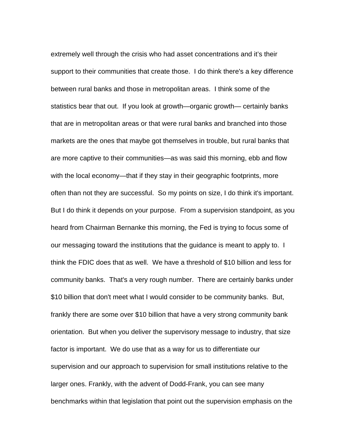extremely well through the crisis who had asset concentrations and it's their support to their communities that create those. I do think there's a key difference between rural banks and those in metropolitan areas. I think some of the statistics bear that out. If you look at growth—organic growth— certainly banks that are in metropolitan areas or that were rural banks and branched into those markets are the ones that maybe got themselves in trouble, but rural banks that are more captive to their communities—as was said this morning, ebb and flow with the local economy—that if they stay in their geographic footprints, more often than not they are successful. So my points on size, I do think it's important. But I do think it depends on your purpose. From a supervision standpoint, as you heard from Chairman Bernanke this morning, the Fed is trying to focus some of our messaging toward the institutions that the guidance is meant to apply to. I think the FDIC does that as well. We have a threshold of \$10 billion and less for community banks. That's a very rough number. There are certainly banks under \$10 billion that don't meet what I would consider to be community banks. But, frankly there are some over \$10 billion that have a very strong community bank orientation. But when you deliver the supervisory message to industry, that size factor is important. We do use that as a way for us to differentiate our supervision and our approach to supervision for small institutions relative to the larger ones. Frankly, with the advent of Dodd-Frank, you can see many benchmarks within that legislation that point out the supervision emphasis on the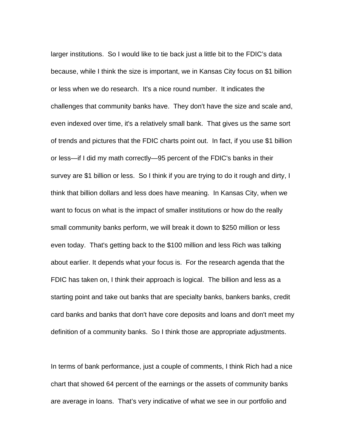larger institutions. So I would like to tie back just a little bit to the FDIC's data because, while I think the size is important, we in Kansas City focus on \$1 billion or less when we do research. It's a nice round number. It indicates the challenges that community banks have. They don't have the size and scale and, even indexed over time, it's a relatively small bank. That gives us the same sort of trends and pictures that the FDIC charts point out. In fact, if you use \$1 billion or less—if I did my math correctly—95 percent of the FDIC's banks in their survey are \$1 billion or less. So I think if you are trying to do it rough and dirty, I think that billion dollars and less does have meaning. In Kansas City, when we want to focus on what is the impact of smaller institutions or how do the really small community banks perform, we will break it down to \$250 million or less even today. That's getting back to the \$100 million and less Rich was talking about earlier. It depends what your focus is. For the research agenda that the FDIC has taken on, I think their approach is logical. The billion and less as a starting point and take out banks that are specialty banks, bankers banks, credit card banks and banks that don't have core deposits and loans and don't meet my definition of a community banks. So I think those are appropriate adjustments.

In terms of bank performance, just a couple of comments, I think Rich had a nice chart that showed 64 percent of the earnings or the assets of community banks are average in loans. That's very indicative of what we see in our portfolio and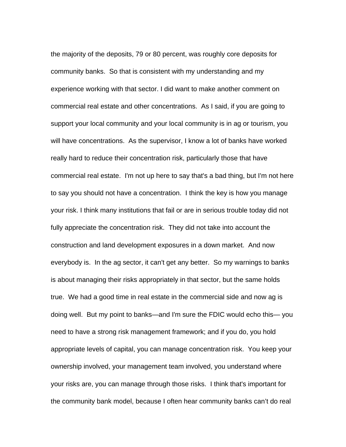the majority of the deposits, 79 or 80 percent, was roughly core deposits for community banks. So that is consistent with my understanding and my experience working with that sector. I did want to make another comment on commercial real estate and other concentrations. As I said, if you are going to support your local community and your local community is in ag or tourism, you will have concentrations. As the supervisor, I know a lot of banks have worked really hard to reduce their concentration risk, particularly those that have commercial real estate. I'm not up here to say that's a bad thing, but I'm not here to say you should not have a concentration. I think the key is how you manage your risk. I think many institutions that fail or are in serious trouble today did not fully appreciate the concentration risk. They did not take into account the construction and land development exposures in a down market. And now everybody is. In the ag sector, it can't get any better. So my warnings to banks is about managing their risks appropriately in that sector, but the same holds true. We had a good time in real estate in the commercial side and now ag is doing well. But my point to banks—and I'm sure the FDIC would echo this— you need to have a strong risk management framework; and if you do, you hold appropriate levels of capital, you can manage concentration risk. You keep your ownership involved, your management team involved, you understand where your risks are, you can manage through those risks. I think that's important for the community bank model, because I often hear community banks can't do real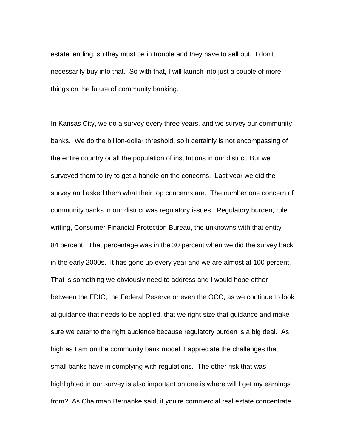estate lending, so they must be in trouble and they have to sell out. I don't necessarily buy into that. So with that, I will launch into just a couple of more things on the future of community banking.

In Kansas City, we do a survey every three years, and we survey our community banks. We do the billion-dollar threshold, so it certainly is not encompassing of the entire country or all the population of institutions in our district. But we surveyed them to try to get a handle on the concerns. Last year we did the survey and asked them what their top concerns are. The number one concern of community banks in our district was regulatory issues. Regulatory burden, rule writing, Consumer Financial Protection Bureau, the unknowns with that entity— 84 percent. That percentage was in the 30 percent when we did the survey back in the early 2000s. It has gone up every year and we are almost at 100 percent. That is something we obviously need to address and I would hope either between the FDIC, the Federal Reserve or even the OCC, as we continue to look at guidance that needs to be applied, that we right-size that guidance and make sure we cater to the right audience because regulatory burden is a big deal. As high as I am on the community bank model, I appreciate the challenges that small banks have in complying with regulations. The other risk that was highlighted in our survey is also important on one is where will I get my earnings from? As Chairman Bernanke said, if you're commercial real estate concentrate,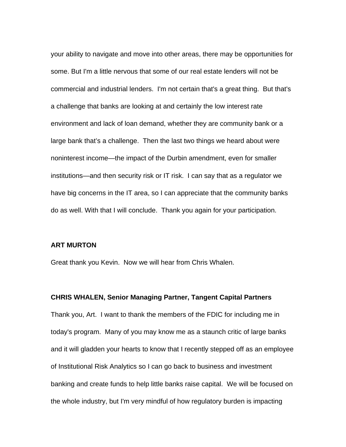your ability to navigate and move into other areas, there may be opportunities for some. But I'm a little nervous that some of our real estate lenders will not be commercial and industrial lenders. I'm not certain that's a great thing. But that's a challenge that banks are looking at and certainly the low interest rate environment and lack of loan demand, whether they are community bank or a large bank that's a challenge. Then the last two things we heard about were noninterest income—the impact of the Durbin amendment, even for smaller institutions—and then security risk or IT risk. I can say that as a regulator we have big concerns in the IT area, so I can appreciate that the community banks do as well. With that I will conclude. Thank you again for your participation.

#### **ART MURTON**

Great thank you Kevin. Now we will hear from Chris Whalen.

#### **CHRIS WHALEN, Senior Managing Partner, Tangent Capital Partners**

Thank you, Art. I want to thank the members of the FDIC for including me in today's program. Many of you may know me as a staunch critic of large banks and it will gladden your hearts to know that I recently stepped off as an employee of Institutional Risk Analytics so I can go back to business and investment banking and create funds to help little banks raise capital. We will be focused on the whole industry, but I'm very mindful of how regulatory burden is impacting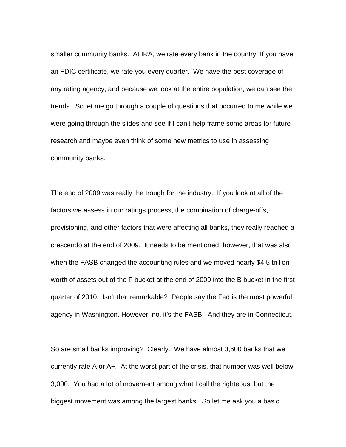smaller community banks. At IRA, we rate every bank in the country. If you have an FDIC certificate, we rate you every quarter. We have the best coverage of any rating agency, and because we look at the entire population, we can see the trends. So let me go through a couple of questions that occurred to me while we were going through the slides and see if I can't help frame some areas for future research and maybe even think of some new metrics to use in assessing community banks.

The end of 2009 was really the trough for the industry. If you look at all of the factors we assess in our ratings process, the combination of charge-offs, provisioning, and other factors that were affecting all banks, they really reached a crescendo at the end of 2009. It needs to be mentioned, however, that was also when the FASB changed the accounting rules and we moved nearly \$4.5 trillion worth of assets out of the F bucket at the end of 2009 into the B bucket in the first quarter of 2010. Isn't that remarkable? People say the Fed is the most powerful agency in Washington. However, no, it's the FASB. And they are in Connecticut.

So are small banks improving? Clearly. We have almost 3,600 banks that we currently rate A or A+. At the worst part of the crisis, that number was well below 3,000. You had a lot of movement among what I call the righteous, but the biggest movement was among the largest banks. So let me ask you a basic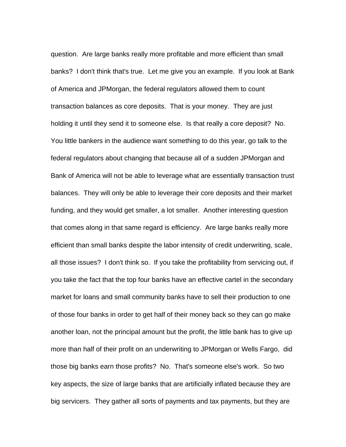question. Are large banks really more profitable and more efficient than small banks? I don't think that's true. Let me give you an example. If you look at Bank of America and JPMorgan, the federal regulators allowed them to count transaction balances as core deposits. That is your money. They are just holding it until they send it to someone else. Is that really a core deposit? No. You little bankers in the audience want something to do this year, go talk to the federal regulators about changing that because all of a sudden JPMorgan and Bank of America will not be able to leverage what are essentially transaction trust balances. They will only be able to leverage their core deposits and their market funding, and they would get smaller, a lot smaller. Another interesting question that comes along in that same regard is efficiency. Are large banks really more efficient than small banks despite the labor intensity of credit underwriting, scale, all those issues? I don't think so. If you take the profitability from servicing out, if you take the fact that the top four banks have an effective cartel in the secondary market for loans and small community banks have to sell their production to one of those four banks in order to get half of their money back so they can go make another loan, not the principal amount but the profit, the little bank has to give up more than half of their profit on an underwriting to JPMorgan or Wells Fargo, did those big banks earn those profits? No. That's someone else's work. So two key aspects, the size of large banks that are artificially inflated because they are big servicers. They gather all sorts of payments and tax payments, but they are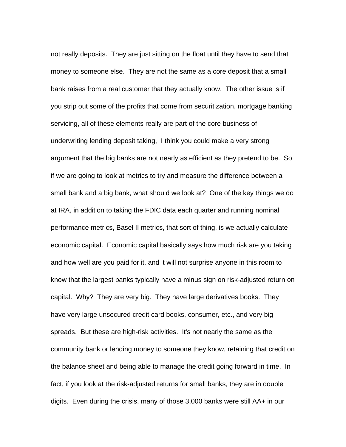not really deposits. They are just sitting on the float until they have to send that money to someone else. They are not the same as a core deposit that a small bank raises from a real customer that they actually know. The other issue is if you strip out some of the profits that come from securitization, mortgage banking servicing, all of these elements really are part of the core business of underwriting lending deposit taking, I think you could make a very strong argument that the big banks are not nearly as efficient as they pretend to be. So if we are going to look at metrics to try and measure the difference between a small bank and a big bank, what should we look at? One of the key things we do at IRA, in addition to taking the FDIC data each quarter and running nominal performance metrics, Basel II metrics, that sort of thing, is we actually calculate economic capital. Economic capital basically says how much risk are you taking and how well are you paid for it, and it will not surprise anyone in this room to know that the largest banks typically have a minus sign on risk-adjusted return on capital. Why? They are very big. They have large derivatives books. They have very large unsecured credit card books, consumer, etc., and very big spreads. But these are high-risk activities. It's not nearly the same as the community bank or lending money to someone they know, retaining that credit on the balance sheet and being able to manage the credit going forward in time. In fact, if you look at the risk-adjusted returns for small banks, they are in double digits. Even during the crisis, many of those 3,000 banks were still AA+ in our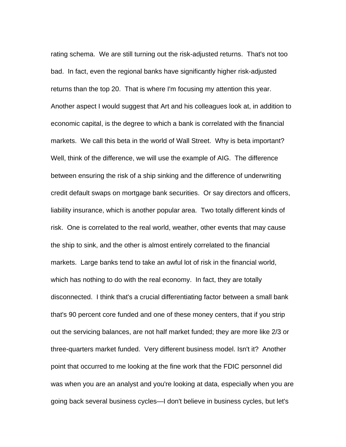rating schema. We are still turning out the risk-adjusted returns. That's not too bad. In fact, even the regional banks have significantly higher risk-adjusted returns than the top 20. That is where I'm focusing my attention this year. Another aspect I would suggest that Art and his colleagues look at, in addition to economic capital, is the degree to which a bank is correlated with the financial markets. We call this beta in the world of Wall Street. Why is beta important? Well, think of the difference, we will use the example of AIG. The difference between ensuring the risk of a ship sinking and the difference of underwriting credit default swaps on mortgage bank securities. Or say directors and officers, liability insurance, which is another popular area. Two totally different kinds of risk. One is correlated to the real world, weather, other events that may cause the ship to sink, and the other is almost entirely correlated to the financial markets. Large banks tend to take an awful lot of risk in the financial world, which has nothing to do with the real economy. In fact, they are totally disconnected. I think that's a crucial differentiating factor between a small bank that's 90 percent core funded and one of these money centers, that if you strip out the servicing balances, are not half market funded; they are more like 2/3 or three-quarters market funded. Very different business model. Isn't it? Another point that occurred to me looking at the fine work that the FDIC personnel did was when you are an analyst and you're looking at data, especially when you are going back several business cycles—I don't believe in business cycles, but let's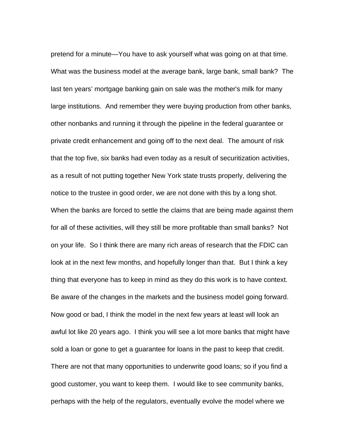pretend for a minute—You have to ask yourself what was going on at that time. What was the business model at the average bank, large bank, small bank? The last ten years' mortgage banking gain on sale was the mother's milk for many large institutions. And remember they were buying production from other banks, other nonbanks and running it through the pipeline in the federal guarantee or private credit enhancement and going off to the next deal. The amount of risk that the top five, six banks had even today as a result of securitization activities, as a result of not putting together New York state trusts properly, delivering the notice to the trustee in good order, we are not done with this by a long shot. When the banks are forced to settle the claims that are being made against them for all of these activities, will they still be more profitable than small banks? Not on your life. So I think there are many rich areas of research that the FDIC can look at in the next few months, and hopefully longer than that. But I think a key thing that everyone has to keep in mind as they do this work is to have context. Be aware of the changes in the markets and the business model going forward. Now good or bad, I think the model in the next few years at least will look an awful lot like 20 years ago. I think you will see a lot more banks that might have sold a loan or gone to get a guarantee for loans in the past to keep that credit. There are not that many opportunities to underwrite good loans; so if you find a good customer, you want to keep them. I would like to see community banks, perhaps with the help of the regulators, eventually evolve the model where we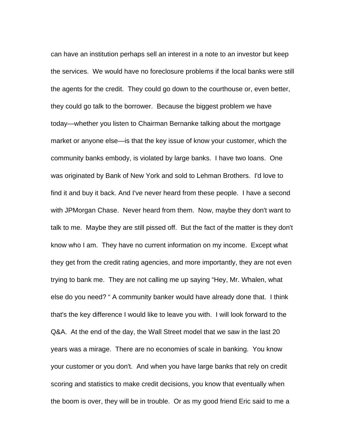can have an institution perhaps sell an interest in a note to an investor but keep the services. We would have no foreclosure problems if the local banks were still the agents for the credit. They could go down to the courthouse or, even better, they could go talk to the borrower. Because the biggest problem we have today—whether you listen to Chairman Bernanke talking about the mortgage market or anyone else—is that the key issue of know your customer, which the community banks embody, is violated by large banks. I have two loans. One was originated by Bank of New York and sold to Lehman Brothers. I'd love to find it and buy it back. And I've never heard from these people. I have a second with JPMorgan Chase. Never heard from them. Now, maybe they don't want to talk to me. Maybe they are still pissed off. But the fact of the matter is they don't know who I am. They have no current information on my income. Except what they get from the credit rating agencies, and more importantly, they are not even trying to bank me. They are not calling me up saying "Hey, Mr. Whalen, what else do you need? " A community banker would have already done that. I think that's the key difference I would like to leave you with. I will look forward to the Q&A. At the end of the day, the Wall Street model that we saw in the last 20 years was a mirage. There are no economies of scale in banking. You know your customer or you don't. And when you have large banks that rely on credit scoring and statistics to make credit decisions, you know that eventually when the boom is over, they will be in trouble. Or as my good friend Eric said to me a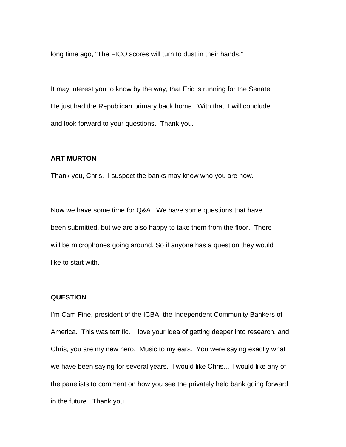long time ago, "The FICO scores will turn to dust in their hands."

It may interest you to know by the way, that Eric is running for the Senate. He just had the Republican primary back home. With that, I will conclude and look forward to your questions. Thank you.

## **ART MURTON**

Thank you, Chris. I suspect the banks may know who you are now.

Now we have some time for Q&A. We have some questions that have been submitted, but we are also happy to take them from the floor. There will be microphones going around. So if anyone has a question they would like to start with.

## **QUESTION**

I'm Cam Fine, president of the ICBA, the Independent Community Bankers of America. This was terrific. I love your idea of getting deeper into research, and Chris, you are my new hero. Music to my ears. You were saying exactly what we have been saying for several years. I would like Chris… I would like any of the panelists to comment on how you see the privately held bank going forward in the future. Thank you.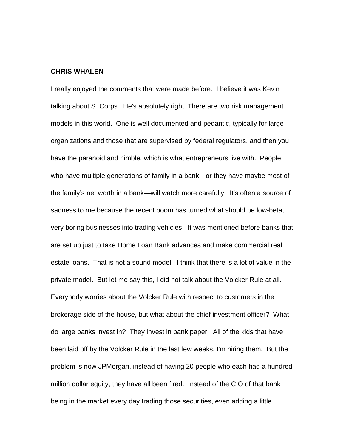#### **CHRIS WHALEN**

I really enjoyed the comments that were made before. I believe it was Kevin talking about S. Corps. He's absolutely right. There are two risk management models in this world. One is well documented and pedantic, typically for large organizations and those that are supervised by federal regulators, and then you have the paranoid and nimble, which is what entrepreneurs live with. People who have multiple generations of family in a bank—or they have maybe most of the family's net worth in a bank—will watch more carefully. It's often a source of sadness to me because the recent boom has turned what should be low-beta, very boring businesses into trading vehicles. It was mentioned before banks that are set up just to take Home Loan Bank advances and make commercial real estate loans. That is not a sound model. I think that there is a lot of value in the private model. But let me say this, I did not talk about the Volcker Rule at all. Everybody worries about the Volcker Rule with respect to customers in the brokerage side of the house, but what about the chief investment officer? What do large banks invest in? They invest in bank paper. All of the kids that have been laid off by the Volcker Rule in the last few weeks, I'm hiring them. But the problem is now JPMorgan, instead of having 20 people who each had a hundred million dollar equity, they have all been fired. Instead of the CIO of that bank being in the market every day trading those securities, even adding a little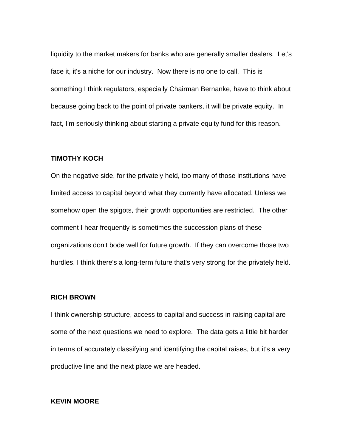liquidity to the market makers for banks who are generally smaller dealers. Let's face it, it's a niche for our industry. Now there is no one to call. This is something I think regulators, especially Chairman Bernanke, have to think about because going back to the point of private bankers, it will be private equity. In fact, I'm seriously thinking about starting a private equity fund for this reason.

## **TIMOTHY KOCH**

On the negative side, for the privately held, too many of those institutions have limited access to capital beyond what they currently have allocated. Unless we somehow open the spigots, their growth opportunities are restricted. The other comment I hear frequently is sometimes the succession plans of these organizations don't bode well for future growth. If they can overcome those two hurdles, I think there's a long-term future that's very strong for the privately held.

## **RICH BROWN**

I think ownership structure, access to capital and success in raising capital are some of the next questions we need to explore. The data gets a little bit harder in terms of accurately classifying and identifying the capital raises, but it's a very productive line and the next place we are headed.

## **KEVIN MOORE**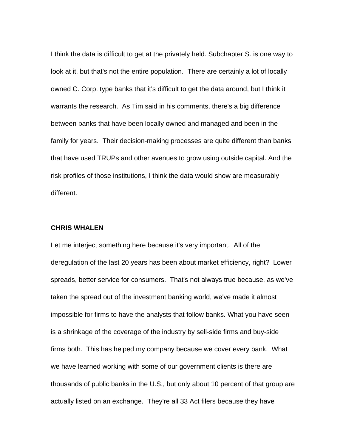I think the data is difficult to get at the privately held. Subchapter S. is one way to look at it, but that's not the entire population. There are certainly a lot of locally owned C. Corp. type banks that it's difficult to get the data around, but I think it warrants the research. As Tim said in his comments, there's a big difference between banks that have been locally owned and managed and been in the family for years. Their decision-making processes are quite different than banks that have used TRUPs and other avenues to grow using outside capital. And the risk profiles of those institutions, I think the data would show are measurably different.

## **CHRIS WHALEN**

Let me interject something here because it's very important. All of the deregulation of the last 20 years has been about market efficiency, right? Lower spreads, better service for consumers. That's not always true because, as we've taken the spread out of the investment banking world, we've made it almost impossible for firms to have the analysts that follow banks. What you have seen is a shrinkage of the coverage of the industry by sell-side firms and buy-side firms both. This has helped my company because we cover every bank. What we have learned working with some of our government clients is there are thousands of public banks in the U.S., but only about 10 percent of that group are actually listed on an exchange. They're all 33 Act filers because they have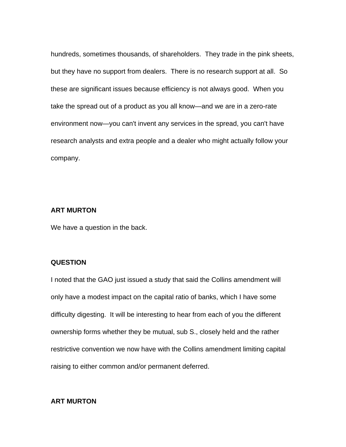hundreds, sometimes thousands, of shareholders. They trade in the pink sheets, but they have no support from dealers. There is no research support at all. So these are significant issues because efficiency is not always good. When you take the spread out of a product as you all know—and we are in a zero-rate environment now—you can't invent any services in the spread, you can't have research analysts and extra people and a dealer who might actually follow your company.

#### **ART MURTON**

We have a question in the back.

## **QUESTION**

I noted that the GAO just issued a study that said the Collins amendment will only have a modest impact on the capital ratio of banks, which I have some difficulty digesting. It will be interesting to hear from each of you the different ownership forms whether they be mutual, sub S., closely held and the rather restrictive convention we now have with the Collins amendment limiting capital raising to either common and/or permanent deferred.

## **ART MURTON**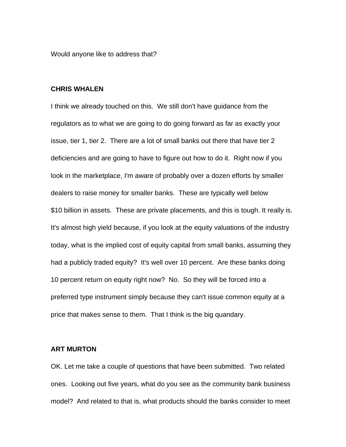Would anyone like to address that?

#### **CHRIS WHALEN**

I think we already touched on this. We still don't have guidance from the regulators as to what we are going to do going forward as far as exactly your issue, tier 1, tier 2. There are a lot of small banks out there that have tier 2 deficiencies and are going to have to figure out how to do it. Right now if you look in the marketplace, I'm aware of probably over a dozen efforts by smaller dealers to raise money for smaller banks. These are typically well below \$10 billion in assets. These are private placements, and this is tough. It really is. It's almost high yield because, if you look at the equity valuations of the industry today, what is the implied cost of equity capital from small banks, assuming they had a publicly traded equity? It's well over 10 percent. Are these banks doing 10 percent return on equity right now? No. So they will be forced into a preferred type instrument simply because they can't issue common equity at a price that makes sense to them. That I think is the big quandary.

## **ART MURTON**

OK. Let me take a couple of questions that have been submitted. Two related ones. Looking out five years, what do you see as the community bank business model? And related to that is, what products should the banks consider to meet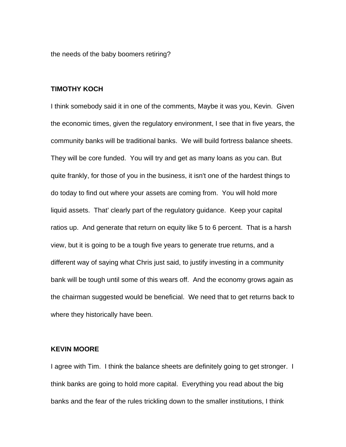the needs of the baby boomers retiring?

#### **TIMOTHY KOCH**

I think somebody said it in one of the comments, Maybe it was you, Kevin. Given the economic times, given the regulatory environment, I see that in five years, the community banks will be traditional banks. We will build fortress balance sheets. They will be core funded. You will try and get as many loans as you can. But quite frankly, for those of you in the business, it isn't one of the hardest things to do today to find out where your assets are coming from. You will hold more liquid assets. That' clearly part of the regulatory guidance. Keep your capital ratios up. And generate that return on equity like 5 to 6 percent. That is a harsh view, but it is going to be a tough five years to generate true returns, and a different way of saying what Chris just said, to justify investing in a community bank will be tough until some of this wears off. And the economy grows again as the chairman suggested would be beneficial. We need that to get returns back to where they historically have been.

## **KEVIN MOORE**

I agree with Tim. I think the balance sheets are definitely going to get stronger. I think banks are going to hold more capital. Everything you read about the big banks and the fear of the rules trickling down to the smaller institutions, I think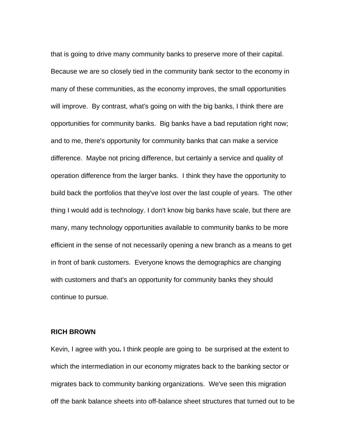that is going to drive many community banks to preserve more of their capital. Because we are so closely tied in the community bank sector to the economy in many of these communities, as the economy improves, the small opportunities will improve. By contrast, what's going on with the big banks, I think there are opportunities for community banks. Big banks have a bad reputation right now; and to me, there's opportunity for community banks that can make a service difference. Maybe not pricing difference, but certainly a service and quality of operation difference from the larger banks. I think they have the opportunity to build back the portfolios that they've lost over the last couple of years. The other thing I would add is technology. I don't know big banks have scale, but there are many, many technology opportunities available to community banks to be more efficient in the sense of not necessarily opening a new branch as a means to get in front of bank customers. Everyone knows the demographics are changing with customers and that's an opportunity for community banks they should continue to pursue.

#### **RICH BROWN**

Kevin, I agree with you**.** I think people are going to be surprised at the extent to which the intermediation in our economy migrates back to the banking sector or migrates back to community banking organizations. We've seen this migration off the bank balance sheets into off-balance sheet structures that turned out to be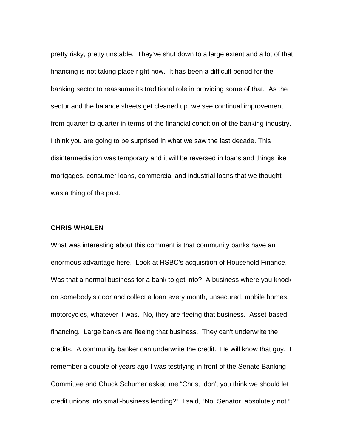pretty risky, pretty unstable. They've shut down to a large extent and a lot of that financing is not taking place right now. It has been a difficult period for the banking sector to reassume its traditional role in providing some of that. As the sector and the balance sheets get cleaned up, we see continual improvement from quarter to quarter in terms of the financial condition of the banking industry. I think you are going to be surprised in what we saw the last decade. This disintermediation was temporary and it will be reversed in loans and things like mortgages, consumer loans, commercial and industrial loans that we thought was a thing of the past.

## **CHRIS WHALEN**

What was interesting about this comment is that community banks have an enormous advantage here. Look at HSBC's acquisition of Household Finance. Was that a normal business for a bank to get into? A business where you knock on somebody's door and collect a loan every month, unsecured, mobile homes, motorcycles, whatever it was. No, they are fleeing that business. Asset-based financing. Large banks are fleeing that business. They can't underwrite the credits. A community banker can underwrite the credit. He will know that guy. I remember a couple of years ago I was testifying in front of the Senate Banking Committee and Chuck Schumer asked me "Chris, don't you think we should let credit unions into small-business lending?" I said, "No, Senator, absolutely not."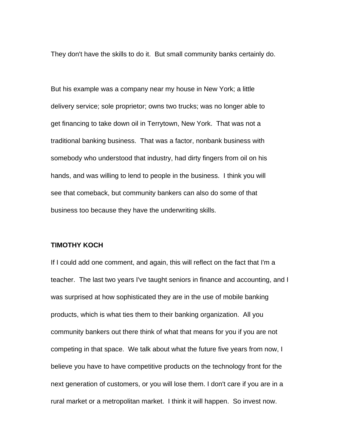They don't have the skills to do it. But small community banks certainly do.

But his example was a company near my house in New York; a little delivery service; sole proprietor; owns two trucks; was no longer able to get financing to take down oil in Terrytown, New York. That was not a traditional banking business. That was a factor, nonbank business with somebody who understood that industry, had dirty fingers from oil on his hands, and was willing to lend to people in the business. I think you will see that comeback, but community bankers can also do some of that business too because they have the underwriting skills.

## **TIMOTHY KOCH**

If I could add one comment, and again, this will reflect on the fact that I'm a teacher. The last two years I've taught seniors in finance and accounting, and I was surprised at how sophisticated they are in the use of mobile banking products, which is what ties them to their banking organization. All you community bankers out there think of what that means for you if you are not competing in that space. We talk about what the future five years from now, I believe you have to have competitive products on the technology front for the next generation of customers, or you will lose them. I don't care if you are in a rural market or a metropolitan market. I think it will happen. So invest now.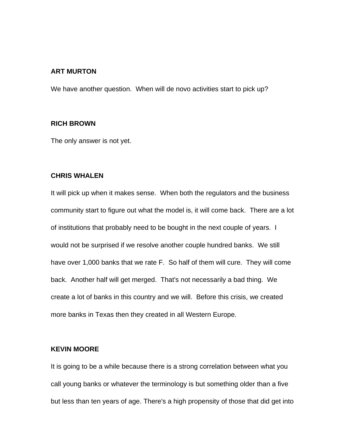#### **ART MURTON**

We have another question. When will de novo activities start to pick up?

## **RICH BROWN**

The only answer is not yet.

#### **CHRIS WHALEN**

It will pick up when it makes sense. When both the regulators and the business community start to figure out what the model is, it will come back. There are a lot of institutions that probably need to be bought in the next couple of years. I would not be surprised if we resolve another couple hundred banks. We still have over 1,000 banks that we rate F. So half of them will cure. They will come back. Another half will get merged. That's not necessarily a bad thing. We create a lot of banks in this country and we will. Before this crisis, we created more banks in Texas then they created in all Western Europe.

## **KEVIN MOORE**

It is going to be a while because there is a strong correlation between what you call young banks or whatever the terminology is but something older than a five but less than ten years of age. There's a high propensity of those that did get into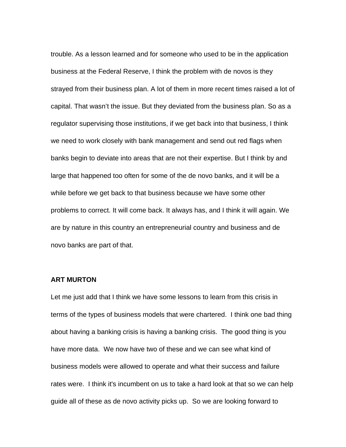trouble. As a lesson learned and for someone who used to be in the application business at the Federal Reserve, I think the problem with de novos is they strayed from their business plan. A lot of them in more recent times raised a lot of capital. That wasn't the issue. But they deviated from the business plan. So as a regulator supervising those institutions, if we get back into that business, I think we need to work closely with bank management and send out red flags when banks begin to deviate into areas that are not their expertise. But I think by and large that happened too often for some of the de novo banks, and it will be a while before we get back to that business because we have some other problems to correct. It will come back. It always has, and I think it will again. We are by nature in this country an entrepreneurial country and business and de novo banks are part of that.

## **ART MURTON**

Let me just add that I think we have some lessons to learn from this crisis in terms of the types of business models that were chartered. I think one bad thing about having a banking crisis is having a banking crisis. The good thing is you have more data. We now have two of these and we can see what kind of business models were allowed to operate and what their success and failure rates were. I think it's incumbent on us to take a hard look at that so we can help guide all of these as de novo activity picks up. So we are looking forward to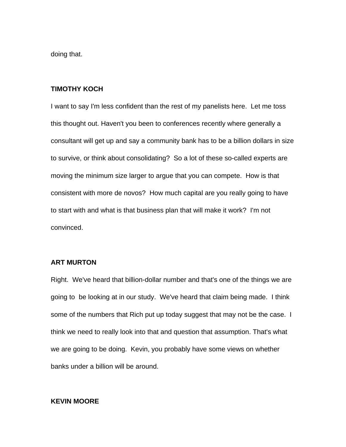doing that.

#### **TIMOTHY KOCH**

I want to say I'm less confident than the rest of my panelists here. Let me toss this thought out. Haven't you been to conferences recently where generally a consultant will get up and say a community bank has to be a billion dollars in size to survive, or think about consolidating? So a lot of these so-called experts are moving the minimum size larger to argue that you can compete. How is that consistent with more de novos? How much capital are you really going to have to start with and what is that business plan that will make it work? I'm not convinced.

#### **ART MURTON**

Right. We've heard that billion-dollar number and that's one of the things we are going to be looking at in our study. We've heard that claim being made. I think some of the numbers that Rich put up today suggest that may not be the case. I think we need to really look into that and question that assumption. That's what we are going to be doing. Kevin, you probably have some views on whether banks under a billion will be around.

## **KEVIN MOORE**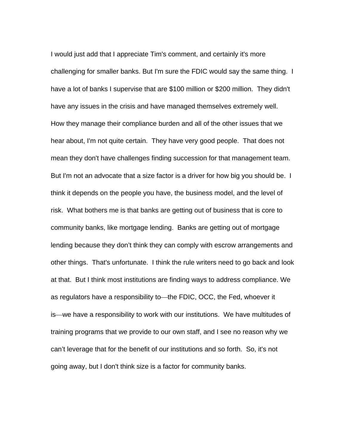I would just add that I appreciate Tim's comment, and certainly it's more challenging for smaller banks. But I'm sure the FDIC would say the same thing. I have a lot of banks I supervise that are \$100 million or \$200 million. They didn't have any issues in the crisis and have managed themselves extremely well. How they manage their compliance burden and all of the other issues that we hear about, I'm not quite certain. They have very good people. That does not mean they don't have challenges finding succession for that management team. But I'm not an advocate that a size factor is a driver for how big you should be. I think it depends on the people you have, the business model, and the level of risk. What bothers me is that banks are getting out of business that is core to community banks, like mortgage lending. Banks are getting out of mortgage lending because they don't think they can comply with escrow arrangements and other things. That's unfortunate. I think the rule writers need to go back and look at that. But I think most institutions are finding ways to address compliance. We as regulators have a responsibility to the FDIC, OCC, the Fed, whoever it is—we have a responsibility to work with our institutions. We have multitudes of training programs that we provide to our own staff, and I see no reason why we can't leverage that for the benefit of our institutions and so forth. So, it's not going away, but I don't think size is a factor for community banks.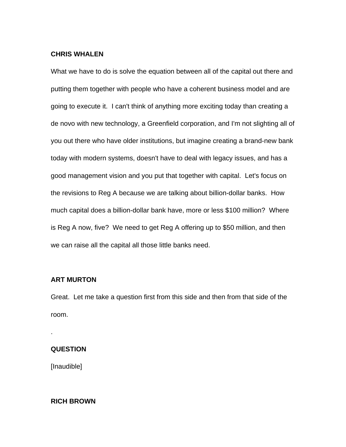## **CHRIS WHALEN**

What we have to do is solve the equation between all of the capital out there and putting them together with people who have a coherent business model and are going to execute it. I can't think of anything more exciting today than creating a de novo with new technology, a Greenfield corporation, and I'm not slighting all of you out there who have older institutions, but imagine creating a brand-new bank today with modern systems, doesn't have to deal with legacy issues, and has a good management vision and you put that together with capital. Let's focus on the revisions to Reg A because we are talking about billion-dollar banks. How much capital does a billion-dollar bank have, more or less \$100 million? Where is Reg A now, five? We need to get Reg A offering up to \$50 million, and then we can raise all the capital all those little banks need.

## **ART MURTON**

Great. Let me take a question first from this side and then from that side of the room.

## **QUESTION**

.

[Inaudible]

## **RICH BROWN**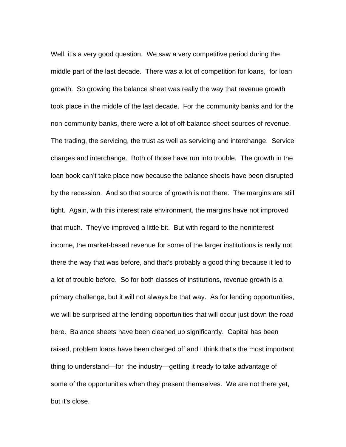Well, it's a very good question. We saw a very competitive period during the middle part of the last decade. There was a lot of competition for loans, for loan growth. So growing the balance sheet was really the way that revenue growth took place in the middle of the last decade. For the community banks and for the non-community banks, there were a lot of off-balance-sheet sources of revenue. The trading, the servicing, the trust as well as servicing and interchange. Service charges and interchange. Both of those have run into trouble. The growth in the loan book can't take place now because the balance sheets have been disrupted by the recession. And so that source of growth is not there. The margins are still tight. Again, with this interest rate environment, the margins have not improved that much. They've improved a little bit. But with regard to the noninterest income, the market-based revenue for some of the larger institutions is really not there the way that was before, and that's probably a good thing because it led to a lot of trouble before. So for both classes of institutions, revenue growth is a primary challenge, but it will not always be that way. As for lending opportunities, we will be surprised at the lending opportunities that will occur just down the road here. Balance sheets have been cleaned up significantly. Capital has been raised, problem loans have been charged off and I think that's the most important thing to understand—for the industry—getting it ready to take advantage of some of the opportunities when they present themselves. We are not there yet, but it's close.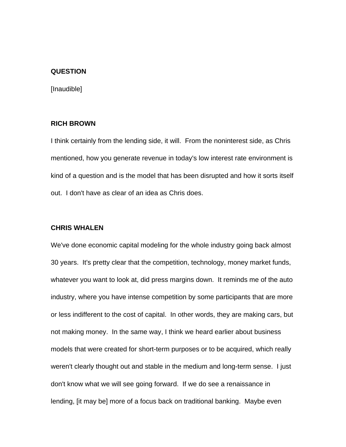## **QUESTION**

[Inaudible]

## **RICH BROWN**

I think certainly from the lending side, it will. From the noninterest side, as Chris mentioned, how you generate revenue in today's low interest rate environment is kind of a question and is the model that has been disrupted and how it sorts itself out. I don't have as clear of an idea as Chris does.

## **CHRIS WHALEN**

We've done economic capital modeling for the whole industry going back almost 30 years. It's pretty clear that the competition, technology, money market funds, whatever you want to look at, did press margins down. It reminds me of the auto industry, where you have intense competition by some participants that are more or less indifferent to the cost of capital. In other words, they are making cars, but not making money. In the same way, I think we heard earlier about business models that were created for short-term purposes or to be acquired, which really weren't clearly thought out and stable in the medium and long-term sense. I just don't know what we will see going forward. If we do see a renaissance in lending, [it may be] more of a focus back on traditional banking. Maybe even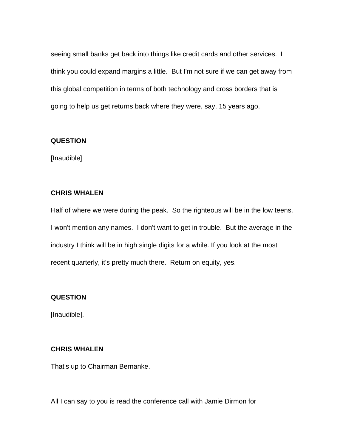seeing small banks get back into things like credit cards and other services. I think you could expand margins a little. But I'm not sure if we can get away from this global competition in terms of both technology and cross borders that is going to help us get returns back where they were, say, 15 years ago.

## **QUESTION**

[Inaudible]

## **CHRIS WHALEN**

Half of where we were during the peak. So the righteous will be in the low teens. I won't mention any names. I don't want to get in trouble. But the average in the industry I think will be in high single digits for a while. If you look at the most recent quarterly, it's pretty much there. Return on equity, yes.

## **QUESTION**

[Inaudible].

## **CHRIS WHALEN**

That's up to Chairman Bernanke.

All I can say to you is read the conference call with Jamie Dirmon for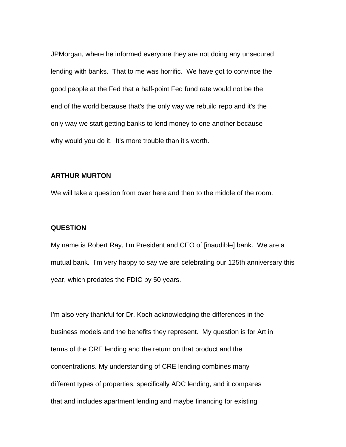JPMorgan, where he informed everyone they are not doing any unsecured lending with banks. That to me was horrific. We have got to convince the good people at the Fed that a half-point Fed fund rate would not be the end of the world because that's the only way we rebuild repo and it's the only way we start getting banks to lend money to one another because why would you do it. It's more trouble than it's worth.

## **ARTHUR MURTON**

We will take a question from over here and then to the middle of the room.

#### **QUESTION**

My name is Robert Ray, I'm President and CEO of [inaudible] bank. We are a mutual bank. I'm very happy to say we are celebrating our 125th anniversary this year, which predates the FDIC by 50 years.

I'm also very thankful for Dr. Koch acknowledging the differences in the business models and the benefits they represent. My question is for Art in terms of the CRE lending and the return on that product and the concentrations. My understanding of CRE lending combines many different types of properties, specifically ADC lending, and it compares that and includes apartment lending and maybe financing for existing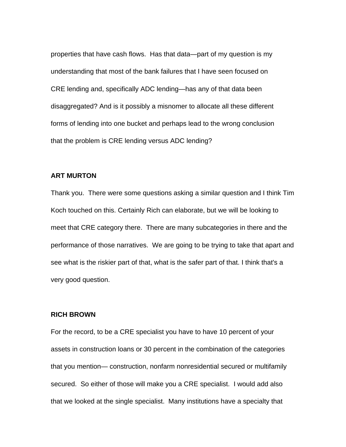properties that have cash flows. Has that data—part of my question is my understanding that most of the bank failures that I have seen focused on CRE lending and, specifically ADC lending—has any of that data been disaggregated? And is it possibly a misnomer to allocate all these different forms of lending into one bucket and perhaps lead to the wrong conclusion that the problem is CRE lending versus ADC lending?

## **ART MURTON**

Thank you. There were some questions asking a similar question and I think Tim Koch touched on this. Certainly Rich can elaborate, but we will be looking to meet that CRE category there. There are many subcategories in there and the performance of those narratives. We are going to be trying to take that apart and see what is the riskier part of that, what is the safer part of that. I think that's a very good question.

## **RICH BROWN**

For the record, to be a CRE specialist you have to have 10 percent of your assets in construction loans or 30 percent in the combination of the categories that you mention— construction, nonfarm nonresidential secured or multifamily secured. So either of those will make you a CRE specialist. I would add also that we looked at the single specialist. Many institutions have a specialty that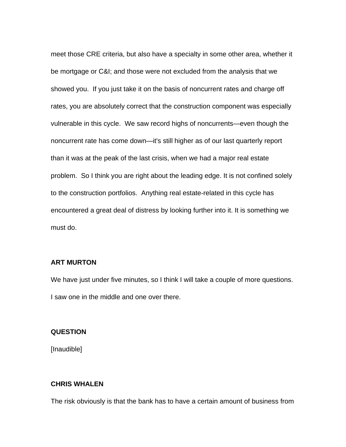meet those CRE criteria, but also have a specialty in some other area, whether it be mortgage or C&I; and those were not excluded from the analysis that we showed you. If you just take it on the basis of noncurrent rates and charge off rates, you are absolutely correct that the construction component was especially vulnerable in this cycle. We saw record highs of noncurrents—even though the noncurrent rate has come down—it's still higher as of our last quarterly report than it was at the peak of the last crisis, when we had a major real estate problem. So I think you are right about the leading edge. It is not confined solely to the construction portfolios. Anything real estate-related in this cycle has encountered a great deal of distress by looking further into it. It is something we must do.

## **ART MURTON**

We have just under five minutes, so I think I will take a couple of more questions. I saw one in the middle and one over there.

#### **QUESTION**

[Inaudible]

## **CHRIS WHALEN**

The risk obviously is that the bank has to have a certain amount of business from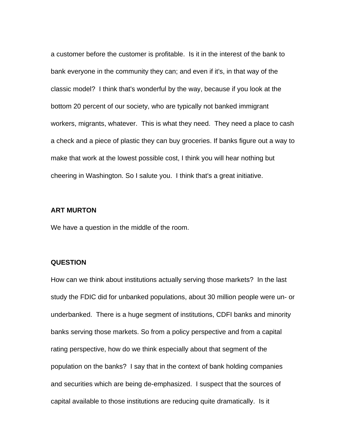a customer before the customer is profitable. Is it in the interest of the bank to bank everyone in the community they can; and even if it's, in that way of the classic model? I think that's wonderful by the way, because if you look at the bottom 20 percent of our society, who are typically not banked immigrant workers, migrants, whatever. This is what they need. They need a place to cash a check and a piece of plastic they can buy groceries. If banks figure out a way to make that work at the lowest possible cost, I think you will hear nothing but cheering in Washington. So I salute you. I think that's a great initiative.

#### **ART MURTON**

We have a question in the middle of the room.

#### **QUESTION**

How can we think about institutions actually serving those markets? In the last study the FDIC did for unbanked populations, about 30 million people were un- or underbanked. There is a huge segment of institutions, CDFI banks and minority banks serving those markets. So from a policy perspective and from a capital rating perspective, how do we think especially about that segment of the population on the banks? I say that in the context of bank holding companies and securities which are being de-emphasized. I suspect that the sources of capital available to those institutions are reducing quite dramatically. Is it